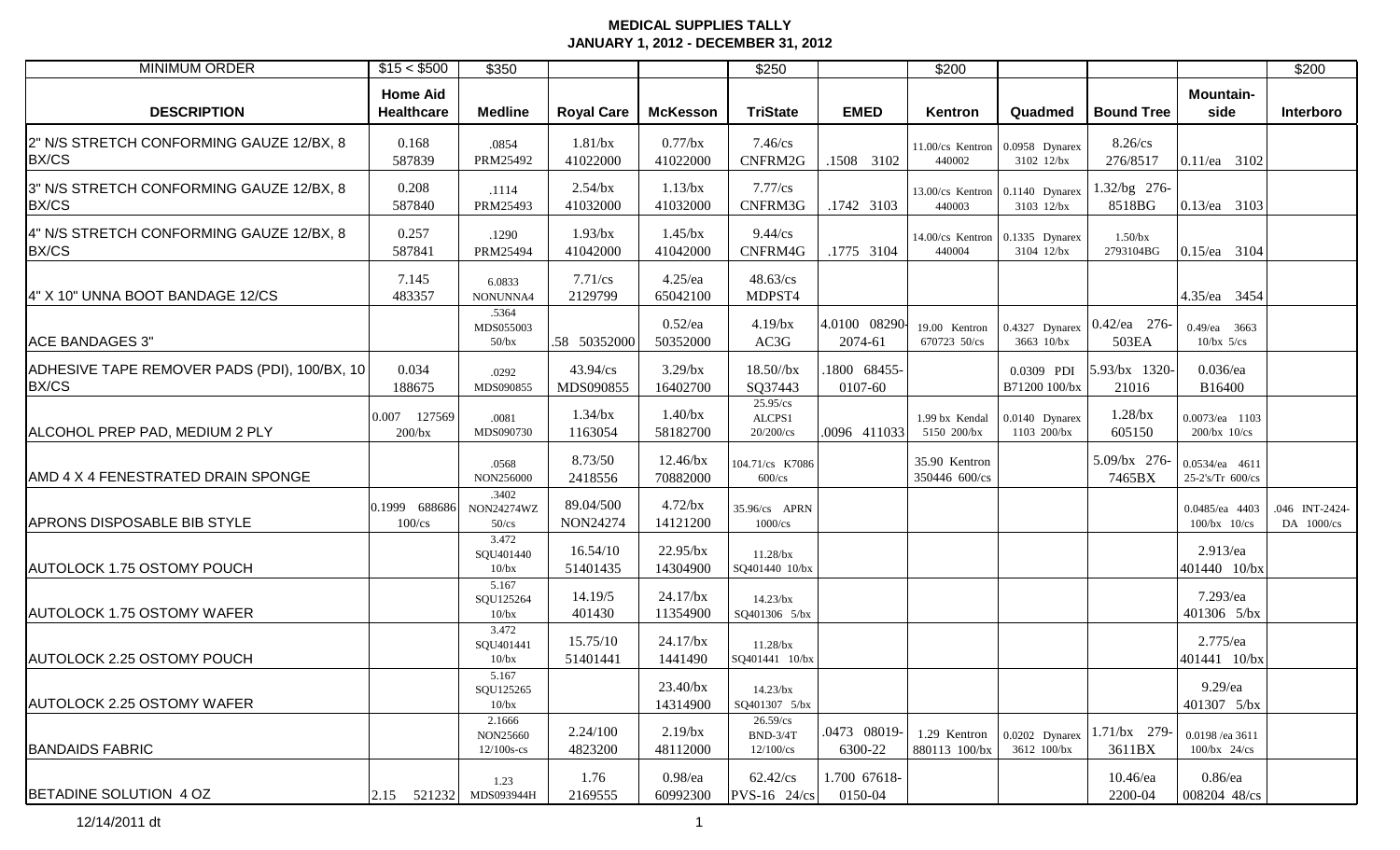| <b>MINIMUM ORDER</b>                                  | \$15 < \$500                  | \$350                               |                        |                         | \$250                                     |                          | \$200                          |                                               |                                      |                                    | \$200                        |
|-------------------------------------------------------|-------------------------------|-------------------------------------|------------------------|-------------------------|-------------------------------------------|--------------------------|--------------------------------|-----------------------------------------------|--------------------------------------|------------------------------------|------------------------------|
| <b>DESCRIPTION</b>                                    | <b>Home Aid</b><br>Healthcare | <b>Medline</b>                      | <b>Royal Care</b>      | <b>McKesson</b>         | <b>TriState</b>                           | <b>EMED</b>              | Kentron                        | Quadmed                                       | <b>Bound Tree</b>                    | <b>Mountain-</b><br>side           | Interboro                    |
| 2" N/S STRETCH CONFORMING GAUZE 12/BX, 8<br>BX/CS     | 0.168<br>587839               | .0854<br>PRM25492                   | $1.81$ /bx<br>41022000 | $0.77$ /bx<br>41022000  | $7.46$ /cs<br>CNFRM2G                     | .1508 3102               | 440002                         | 11.00/cs Kentron 0.0958 Dynarex<br>3102 12/bx | 8.26/cs<br>276/8517                  | 0.11/ea 3102                       |                              |
| 3" N/S STRETCH CONFORMING GAUZE 12/BX, 8<br>BX/CS     | 0.208<br>587840               | .1114<br>PRM25493                   | $2.54$ /bx<br>41032000 | $1.13$ /bx<br>41032000  | $7.77$ / $cs$<br>CNFRM3G                  | .1742 3103               | 440003                         | 13.00/cs Kentron 0.1140 Dynarex<br>3103 12/bx | .32/bg 276-<br>8518BG                | 0.13/ea 3103                       |                              |
| 4" N/S STRETCH CONFORMING GAUZE 12/BX, 8<br>BX/CS     | 0.257<br>587841               | .1290<br>PRM25494                   | 1.93/bx<br>41042000    | $1.45$ /bx<br>41042000  | $9.44$ /cs<br>CNFRM4G                     | .1775 3104               | 440004                         | 14.00/cs Kentron 0.1335 Dynarex<br>3104 12/bx | $1.50$ /bx<br>2793104BG              | 0.15/ea 3104                       |                              |
| 4" X 10" UNNA BOOT BANDAGE 12/CS                      | 7.145<br>483357               | 6.0833<br>NONUNNA4                  | $7.71$ /cs<br>2129799  | $4.25$ /ea<br>65042100  | 48.63/cs<br>MDPST4                        |                          |                                |                                               |                                      | 4.35/ea 3454                       |                              |
| <b>ACE BANDAGES 3"</b>                                |                               | .5364<br>MDS055003<br>$50$ /bx      | .58 50352000           | $0.52$ /ea<br>50352000  | $4.19$ /bx<br>AC3G                        | 4.0100 08290-<br>2074-61 | 19.00 Kentron<br>670723 50/cs  | 3663 10/bx                                    | 0.4327 Dynarex 0.42/ea 276-<br>503EA | $0.49$ /ea 3663<br>$10/bx$ 5/cs    |                              |
| ADHESIVE TAPE REMOVER PADS (PDI), 100/BX, 10<br>BX/CS | 0.034<br>188675               | .0292<br>MDS090855                  | 43.94/cs<br>MDS090855  | $3.29$ /bx<br>16402700  | 18.50//bx<br>SQ37443                      | 1800 68455-<br>0107-60   |                                | 0.0309 PDI<br>B71200 100/bx                   | 5.93/bx 1320-<br>21016               | $0.036$ /ea<br>B16400              |                              |
| ALCOHOL PREP PAD, MEDIUM 2 PLY                        | 0.007 127569<br>200/bx        | .0081<br>MDS090730                  | $1.34$ /bx<br>1163054  | $1.40$ /bx<br>58182700  | 25.95/cs<br>ALCPS1<br>$20/200$ /cs        | .0096 411033             | 1.99 bx Kendal<br>5150 200/bx  | 0.0140 Dynarex<br>1103 200/bx                 | $1.28$ /bx<br>605150                 | 0.0073/ea 1103<br>$200/bx$ 10/cs   |                              |
| AMD 4 X 4 FENESTRATED DRAIN SPONGE                    |                               | .0568<br>NON256000                  | 8.73/50<br>2418556     | 12.46/bx<br>70882000    | 104.71/cs K7086<br>$600$ /cs              |                          | 35.90 Kentron<br>350446 600/cs |                                               | 5.09/bx 276-<br>7465BX               | 0.0534/ea 4611<br>25-2's/Tr 600/cs |                              |
| <b>APRONS DISPOSABLE BIB STYLE</b>                    | 0.1999 688686<br>$100$ /cs    | .3402<br>NON24274WZ<br>$50$ /cs     | 89.04/500<br>NON24274  | $4.72$ /bx<br>14121200  | 35.96/cs APRN<br>1000/cs                  |                          |                                |                                               |                                      | 0.0485/ea 4403<br>$100/bx$ $10/cs$ | .046 INT-2424-<br>DA 1000/cs |
| <b>AUTOLOCK 1.75 OSTOMY POUCH</b>                     |                               | 3.472<br>SQU401440<br>10/bx         | 16.54/10<br>51401435   | 22.95/bx<br>14304900    | $11.28$ /bx<br>SQ401440 10/bx             |                          |                                |                                               |                                      | 2.913/ea<br>401440 10/bx           |                              |
| <b>AUTOLOCK 1.75 OSTOMY WAFER</b>                     |                               | 5.167<br>SQU125264<br>10/bx         | 14.19/5<br>401430      | $24.17$ /bx<br>11354900 | $14.23$ /bx<br>SQ401306 5/bx              |                          |                                |                                               |                                      | 7.293/ea<br>401306 5/bx            |                              |
| <b>AUTOLOCK 2.25 OSTOMY POUCH</b>                     |                               | 3.472<br>SQU401441<br>10/bx         | 15.75/10<br>51401441   | $24.17$ /bx<br>1441490  | $11.28$ /bx<br>SQ401441 10/bx             |                          |                                |                                               |                                      | 2.775/ea<br>401441 10/bx           |                              |
| <b>AUTOLOCK 2.25 OSTOMY WAFER</b>                     |                               | 5.167<br>SQU125265<br>10/bx         |                        | 23.40/bx<br>14314900    | $14.23$ /bx<br>SQ401307 5/bx              |                          |                                |                                               |                                      | 9.29/ea<br>401307 5/bx             |                              |
| <b>BANDAIDS FABRIC</b>                                |                               | 2.1666<br>NON25660<br>$12/100s$ -cs | 2.24/100<br>4823200    | $2.19$ /bx<br>48112000  | $26.59$ /cs<br>$BND-3/4T$<br>$12/100$ /cs | .0473 08019-<br>6300-22  | 1.29 Kentron<br>880113 100/bx  | 0.0202 Dynarex<br>3612 100/bx                 | 1.71/bx 279-<br>3611BX               | 0.0198 /ea 3611<br>$100/bx$ 24/cs  |                              |
| BETADINE SOLUTION 4 OZ                                | $ 2.15$ 521232 MDS093944H     | 1.23                                | 1.76<br>2169555        | $0.98$ /ea<br>60992300  | 62.42/cs<br>PVS-16 24/cs                  | 1.700 67618-<br>0150-04  |                                |                                               | $10.46$ /ea<br>2200-04               | $0.86$ /ea<br>008204 48/cs         |                              |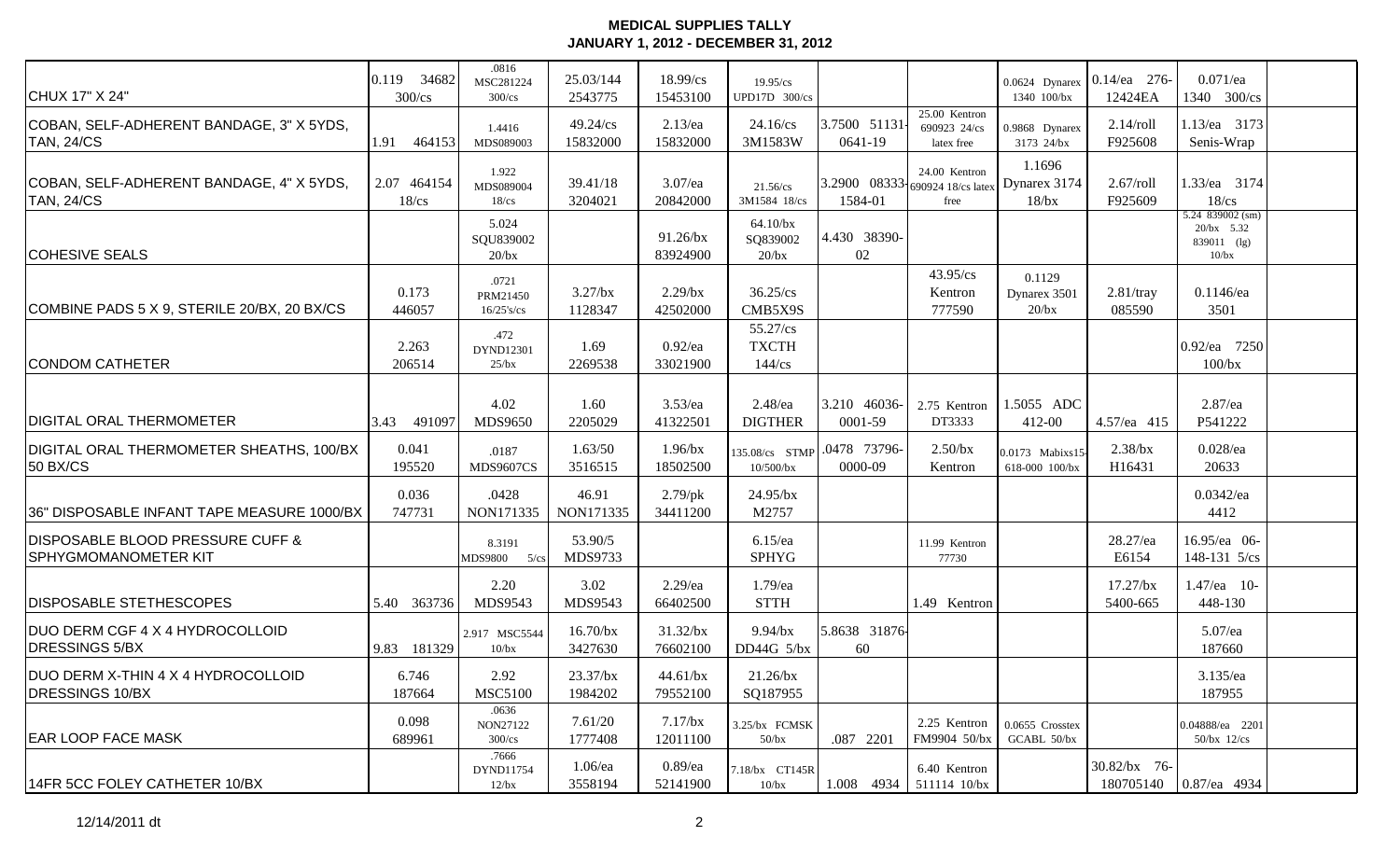| CHUX 17" X 24"                                                             | 0.119 34682<br>$300$ /cs   | .0816<br>MSC281224<br>$300$ /cs    | 25.03/144<br>2543775    | 18.99/cs<br>15453100      | 19.95/cs<br>UPD17D 300/cs                   |                         |                                                                       | 0.0624 Dynarex<br>1340 100/bx     | $0.14$ /ea 276-<br>12424EA | $0.071$ /ea<br>1340 300/cs                                   |  |
|----------------------------------------------------------------------------|----------------------------|------------------------------------|-------------------------|---------------------------|---------------------------------------------|-------------------------|-----------------------------------------------------------------------|-----------------------------------|----------------------------|--------------------------------------------------------------|--|
| COBAN, SELF-ADHERENT BANDAGE, 3" X 5YDS,<br><b>TAN, 24/CS</b>              | 1.91<br>464153             | 1.4416<br>MDS089003                | $49.24$ /cs<br>15832000 | $2.13$ /ea<br>15832000    | $24.16$ /cs<br>3M1583W                      | 3.7500 51131<br>0641-19 | 25.00 Kentron<br>690923 24/cs<br>latex free                           | 0.9868 Dynarex<br>3173 24/bx      | $2.14$ /roll<br>F925608    | 1.13/ea 3173<br>Senis-Wrap                                   |  |
| COBAN, SELF-ADHERENT BANDAGE, 4" X 5YDS,<br><b>TAN, 24/CS</b>              | 2.07 464154<br>$18$ / $cs$ | 1.922<br>MDS089004<br>$18$ / $cs$  | 39.41/18<br>3204021     | $3.07$ /ea<br>20842000    | 21.56/cs<br>3M1584 18/cs                    | 1584-01                 | 24.00 Kentron<br>3.2900 08333 690924 18/cs latex Dynarex 3174<br>free | 1.1696<br>$18$ /bx                | $2.67$ /roll<br>F925609    | 1.33/ea 3174<br>$18$ / $cs$                                  |  |
| <b>COHESIVE SEALS</b>                                                      |                            | 5.024<br>SQU839002<br>$20$ /bx     |                         | 91.26/bx<br>83924900      | 64.10/bx<br>SQ839002<br>$20$ /bx            | 4.430 38390-<br>02      |                                                                       |                                   |                            | 5.24 $839002$ (sm)<br>$20/bx$ 5.32<br>839011 (lg)<br>$10/bx$ |  |
| COMBINE PADS 5 X 9, STERILE 20/BX, 20 BX/CS                                | 0.173<br>446057            | .0721<br>PRM21450<br>$16/25$ 's/cs | $3.27$ /bx<br>1128347   | $2.29$ /bx<br>42502000    | $36.25$ /cs<br>CMB5X9S                      |                         | 43.95/cs<br>Kentron<br>777590                                         | 0.1129<br>Dynarex 3501<br>20/bx   | $2.81$ /tray<br>085590     | $0.1146$ /ea<br>3501                                         |  |
| <b>CONDOM CATHETER</b>                                                     | 2.263<br>206514            | .472<br>DYND12301<br>25/bx         | 1.69<br>2269538         | $0.92$ /ea<br>33021900    | $55.27$ /cs<br><b>TXCTH</b><br>$144$ / $cs$ |                         |                                                                       |                                   |                            | 0.92/ea 7250<br>100/bx                                       |  |
| <b>DIGITAL ORAL THERMOMETER</b>                                            | 491097<br>3.43             | 4.02<br><b>MDS9650</b>             | 1.60<br>2205029         | $3.53$ /ea<br>41322501    | $2.48$ /ea<br><b>DIGTHER</b>                | 3.210 46036-<br>0001-59 | 2.75 Kentron<br>DT3333                                                | 1.5055 ADC<br>412-00              | 4.57/ea 415                | 2.87/ea<br>P541222                                           |  |
| DIGITAL ORAL THERMOMETER SHEATHS, 100/BX<br>50 BX/CS                       | 0.041<br>195520            | .0187<br><b>MDS9607CS</b>          | 1.63/50<br>3516515      | $1.96$ /bx<br>18502500    | 135.08/cs STMP<br>$10/500$ /bx              | .0478 73796-<br>0000-09 | $2.50$ /bx<br>Kentron                                                 | 0.0173 Mabixs15<br>618-000 100/bx | $2.38$ /bx<br>H16431       | $0.028$ /ea<br>20633                                         |  |
| 36" DISPOSABLE INFANT TAPE MEASURE 1000/BX                                 | 0.036<br>747731            | .0428<br>NON171335                 | 46.91<br>NON171335      | $2.79$ /pk<br>34411200    | $24.95$ /bx<br>M2757                        |                         |                                                                       |                                   |                            | 0.0342/ea<br>4412                                            |  |
| <b>DISPOSABLE BLOOD PRESSURE CUFF &amp;</b><br><b>SPHYGMOMANOMETER KIT</b> |                            | 8.3191<br>MDS9800 5/cs             | 53.90/5<br>MDS9733      |                           | $6.15$ /ea<br><b>SPHYG</b>                  |                         | 11.99 Kentron<br>77730                                                |                                   | 28.27/ea<br>E6154          | 16.95/ea 06-<br>148-131 5/cs                                 |  |
| <b>DISPOSABLE STETHESCOPES</b>                                             | 5.40 363736                | 2.20<br>MDS9543                    | 3.02<br>MDS9543         | $2.29$ /ea<br>66402500    | 1.79/ea<br><b>STTH</b>                      |                         | 1.49 Kentron                                                          |                                   | $17.27$ /bx<br>5400-665    | 1.47/ea 10-<br>448-130                                       |  |
| DUO DERM CGF 4 X 4 HYDROCOLLOID<br><b>DRESSINGS 5/BX</b>                   | 9.83 181329                | 2.917 MSC5544<br>10/bx             | $16.70$ /bx<br>3427630  | $31.32$ /bx<br>76602100   | $9.94$ /bx<br>DD44G $5$ /bx                 | 5.8638 31876<br>60      |                                                                       |                                   |                            | 5.07/ea<br>187660                                            |  |
| DUO DERM X-THIN 4 X 4 HYDROCOLLOID<br><b>DRESSINGS 10/BX</b>               | 6.746<br>187664            | 2.92<br><b>MSC5100</b>             | $23.37$ /bx<br>1984202  | $44.61$ /bx<br>79552100   | $21.26$ /bx<br>SQ187955                     |                         |                                                                       |                                   |                            | $3.135$ /ea<br>187955                                        |  |
| <b>IEAR LOOP FACE MASK</b>                                                 | 0.098<br>689961            | .0636<br>NON27122<br>$300$ /cs     | 7.61/20<br>1777408      | $7.17$ / $bx$<br>12011100 | 3.25/bx FCMSK<br>$50$ /bx                   | .087 2201               | 2.25 Kentron<br>FM9904 50/bx                                          | 0.0655 Crosstex<br>GCABL 50/bx    |                            | 0.04888/ea 2201<br>$50$ /bx $12$ /cs                         |  |
| 14FR 5CC FOLEY CATHETER 10/BX                                              |                            | .7666<br>DYND11754<br>$12$ /bx     | $1.06$ /ea<br>3558194   | $0.89$ /ea<br>52141900    | 7.18/bx CT145R<br>10/bx                     | $1.008$ 4934            | 6.40 Kentron<br>511114 10/bx                                          |                                   | 30.82/bx 76-               | 180705140 0.87/ea 4934                                       |  |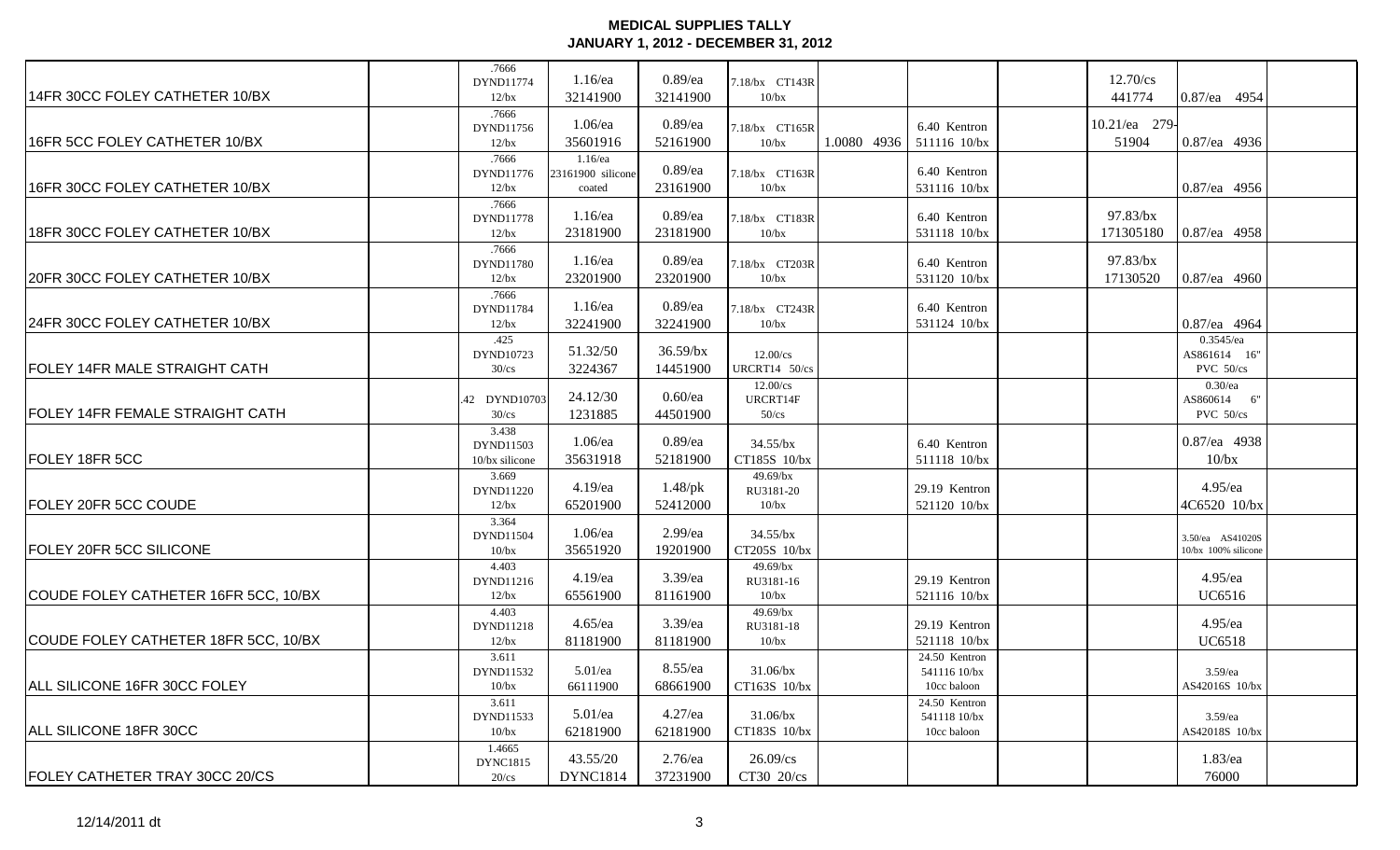|                                        | .7666<br>DYND11774        | $1.16$ /ea        | $0.89$ /ea  | 7.18/bx CT143R       |             |               | 12.70/cs      |                          |  |
|----------------------------------------|---------------------------|-------------------|-------------|----------------------|-------------|---------------|---------------|--------------------------|--|
| 14FR 30CC FOLEY CATHETER 10/BX         | 12/bx                     | 32141900          | 32141900    | 10/bx                |             |               | 441774        | 0.87/ea 4954             |  |
|                                        | .7666                     |                   |             |                      |             |               |               |                          |  |
|                                        | DYND11756                 | 1.06/ea           | $0.89$ /ea  | 7.18/bx CT165R       |             | 6.40 Kentron  | 10.21/ea 279- |                          |  |
| 16FR 5CC FOLEY CATHETER 10/BX          | $12$ /bx                  | 35601916          | 52161900    | 10/bx                | 1.0080 4936 | 511116 10/bx  | 51904         | $0.87$ /ea 4936          |  |
|                                        | .7666                     | 1.16/ea           | $0.89$ /ea  |                      |             | 6.40 Kentron  |               |                          |  |
| 16FR 30CC FOLEY CATHETER 10/BX         | DYND11776                 | 23161900 silicone |             | 7.18/bx CT163R       |             | 531116 10/bx  |               |                          |  |
|                                        | 12/bx                     | coated            | 23161900    | 10/bx                |             |               |               | 0.87/ea 4956             |  |
|                                        | .7666<br>DYND11778        | $1.16$ /ea        | $0.89$ /ea  | 7.18/bx CT183R       |             | 6.40 Kentron  | 97.83/bx      |                          |  |
| 18FR 30CC FOLEY CATHETER 10/BX         | 12/bx                     | 23181900          | 23181900    | 10/bx                |             | 531118 10/bx  | 171305180     | 0.87/ea 4958             |  |
|                                        | .7666                     |                   |             |                      |             |               |               |                          |  |
|                                        | DYND11780                 | $1.16$ /ea        | $0.89$ /ea  | 7.18/bx CT203R       |             | 6.40 Kentron  | 97.83/bx      |                          |  |
| 20FR 30CC FOLEY CATHETER 10/BX         | 12/bx                     | 23201900          | 23201900    | 10/bx                |             | 531120 10/bx  | 17130520      | 0.87/ea 4960             |  |
|                                        | .7666                     |                   |             |                      |             |               |               |                          |  |
|                                        | DYND11784                 | $1.16$ /ea        | $0.89$ /ea  | 7.18/bx CT243R       |             | 6.40 Kentron  |               |                          |  |
| 24FR 30CC FOLEY CATHETER 10/BX         | 12/bx                     | 32241900          | 32241900    | 10/bx                |             | 531124 10/bx  |               | 0.87/ea 4964             |  |
|                                        | .425                      |                   |             |                      |             |               |               | $0.3545$ /ea             |  |
|                                        | DYND10723                 | 51.32/50          | $36.59$ /bx | 12.00/cs             |             |               |               | AS861614 16"             |  |
| FOLEY 14FR MALE STRAIGHT CATH          | $30$ /cs                  | 3224367           | 14451900    | URCRT14 50/cs        |             |               |               | PVC 50/cs                |  |
|                                        |                           | 24.12/30          | $0.60$ /ea  | $12.00$ /cs          |             |               |               | $0.30$ /ea               |  |
| <b>FOLEY 14FR FEMALE STRAIGHT CATH</b> | .42 DYND10703<br>$30$ /cs | 1231885           | 44501900    | URCRT14F<br>$50$ /cs |             |               |               | AS860614 6"<br>PVC 50/cs |  |
|                                        | 3.438                     |                   |             |                      |             |               |               |                          |  |
|                                        | DYND11503                 | $1.06$ /ea        | $0.89$ /ea  | $34.55$ /bx          |             | 6.40 Kentron  |               | 0.87/ea 4938             |  |
| FOLEY 18FR 5CC                         | 10/bx silicone            | 35631918          | 52181900    | CT185S 10/bx         |             | 511118 10/bx  |               | 10/bx                    |  |
|                                        | 3.669                     |                   |             | 49.69/bx             |             |               |               |                          |  |
|                                        | DYND11220                 | 4.19/ea           | $1.48$ /pk  | RU3181-20            |             | 29.19 Kentron |               | $4.95$ /ea               |  |
| <b>FOLEY 20FR 5CC COUDE</b>            | $12$ /bx                  | 65201900          | 52412000    | 10/bx                |             | 521120 10/bx  |               | 4C6520 10/bx             |  |
|                                        | 3.364                     |                   |             |                      |             |               |               |                          |  |
|                                        | DYND11504                 | 1.06/ea           | 2.99/ea     | $34.55$ /bx          |             |               |               | 3.50/ea AS41020S         |  |
| <b>FOLEY 20FR 5CC SILICONE</b>         | 10/bx                     | 35651920          | 19201900    | CT205S 10/bx         |             |               |               | 10/bx 100% silicone      |  |
|                                        | 4.403                     | 4.19/ea           | 3.39/ea     | $49.69$ /bx          |             | 29.19 Kentron |               | 4.95/ea                  |  |
| COUDE FOLEY CATHETER 16FR 5CC, 10/BX   | DYND11216<br>12/bx        | 65561900          | 81161900    | RU3181-16<br>10/bx   |             | 521116 10/bx  |               | <b>UC6516</b>            |  |
|                                        | 4.403                     |                   |             | 49.69/bx             |             |               |               |                          |  |
|                                        | DYND11218                 | $4.65$ /ea        | 3.39/ea     | RU3181-18            |             | 29.19 Kentron |               | $4.95$ /ea               |  |
| COUDE FOLEY CATHETER 18FR 5CC, 10/BX   | 12/bx                     | 81181900          | 81181900    | 10/bx                |             | 521118 10/bx  |               | <b>UC6518</b>            |  |
|                                        | 3.611                     |                   |             |                      |             | 24.50 Kentron |               |                          |  |
|                                        | DYND11532                 | $5.01$ /ea        | $8.55$ /ea  | $31.06$ /bx          |             | 541116 10/bx  |               | $3.59$ /ea               |  |
| ALL SILICONE 16FR 30CC FOLEY           | 10/bx                     | 66111900          | 68661900    | CT163S 10/bx         |             | 10cc baloon   |               | AS42016S 10/bx           |  |
|                                        | 3.611                     |                   |             |                      |             | 24.50 Kentron |               |                          |  |
|                                        | DYND11533                 | $5.01$ /ea        | $4.27$ /ea  | $31.06$ /bx          |             | 541118 10/bx  |               | $3.59$ /ea               |  |
| ALL SILICONE 18FR 30CC                 | 10/bx                     | 62181900          | 62181900    | CT183S 10/bx         |             | 10cc baloon   |               | AS42018S 10/bx           |  |
|                                        | 1.4665                    | 43.55/20          | $2.76$ /ea  | $26.09$ /cs          |             |               |               | $1.83$ /ea               |  |
| FOLEY CATHETER TRAY 30CC 20/CS         | <b>DYNC1815</b>           |                   |             |                      |             |               |               | 76000                    |  |
|                                        | $20$ /cs                  | <b>DYNC1814</b>   | 37231900    | CT30 20/cs           |             |               |               |                          |  |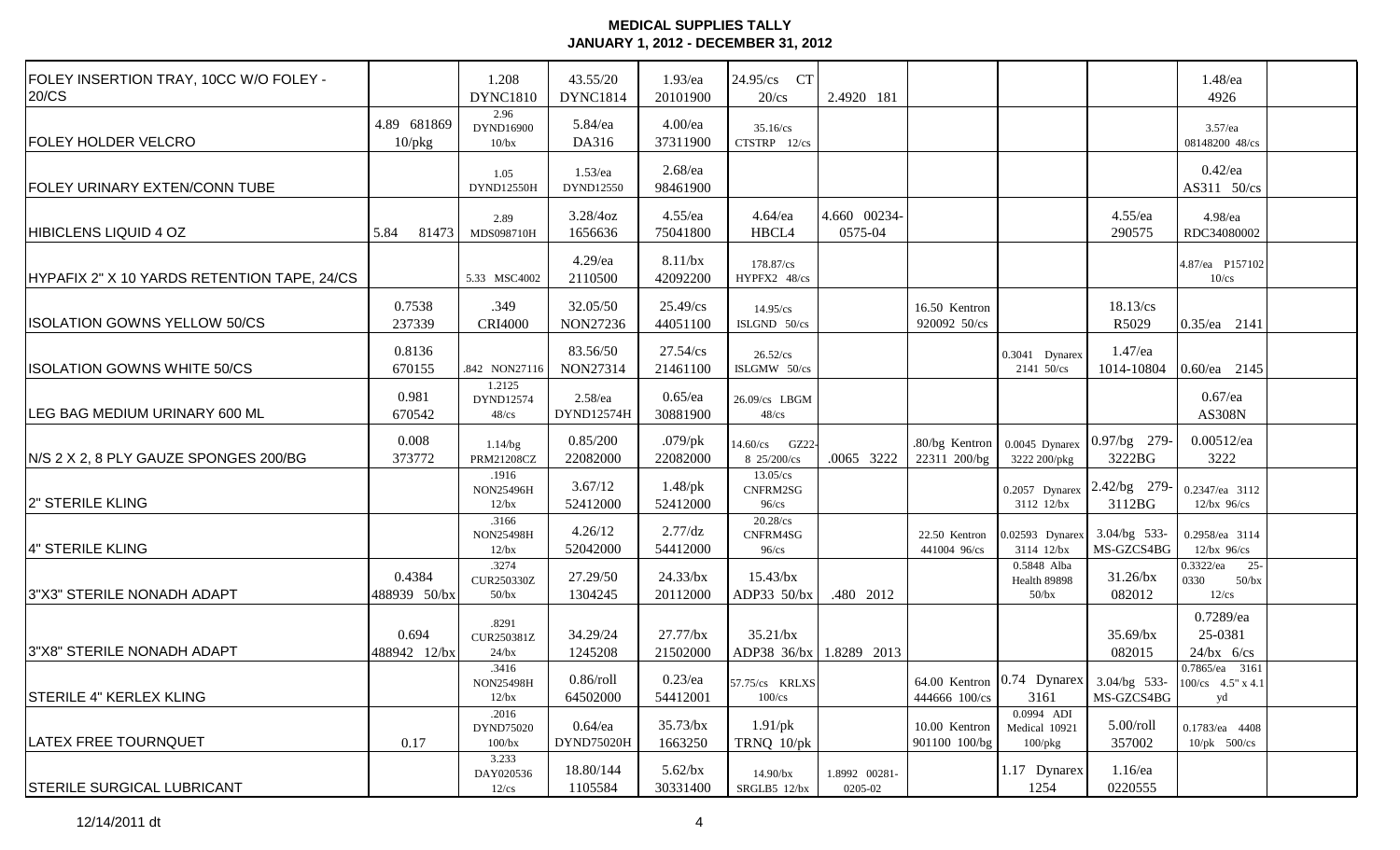| FOLEY INSERTION TRAY, 10CC W/O FOLEY -<br>20/CS |                             | 1.208<br><b>DYNC1810</b>               | 43.55/20<br><b>DYNC1814</b> | 1.93/ea<br>20101900     | 24.95/cs CT<br>$20$ /cs                | 2.4920 181               |                                |                                              |                                                                               | 1.48/ea<br>4926                                        |
|-------------------------------------------------|-----------------------------|----------------------------------------|-----------------------------|-------------------------|----------------------------------------|--------------------------|--------------------------------|----------------------------------------------|-------------------------------------------------------------------------------|--------------------------------------------------------|
| <b>FOLEY HOLDER VELCRO</b>                      | 4.89 681869<br>$10$ / $pkg$ | 2.96<br>DYND16900<br>10/bx             | 5.84/ea<br>DA316            | $4.00$ /ea<br>37311900  | $35.16$ /cs<br>CTSTRP 12/cs            |                          |                                |                                              |                                                                               | 3.57/ea<br>08148200 48/cs                              |
| <b>FOLEY URINARY EXTEN/CONN TUBE</b>            |                             | 1.05<br>DYND12550H                     | $1.53$ /ea<br>DYND12550     | $2.68$ /ea<br>98461900  |                                        |                          |                                |                                              |                                                                               | $0.42$ /ea<br>AS311 50/cs                              |
| <b>HIBICLENS LIQUID 4 OZ</b>                    | 81473<br>5.84               | 2.89<br>MDS098710H                     | $3.28/4$ oz<br>1656636      | $4.55$ /ea<br>75041800  | $4.64$ /ea<br>HBCL4                    | 4.660 00234-<br>0575-04  |                                |                                              | $4.55$ /ea<br>290575                                                          | 4.98/ea<br>RDC34080002                                 |
| HYPAFIX 2" X 10 YARDS RETENTION TAPE, 24/CS     |                             | 5.33 MSC4002                           | $4.29$ /ea<br>2110500       | 8.11/bx<br>42092200     | 178.87/cs<br>HYPFX2 48/cs              |                          |                                |                                              |                                                                               | 4.87/ea P157102<br>$10$ /cs                            |
| <b>ISOLATION GOWNS YELLOW 50/CS</b>             | 0.7538<br>237339            | .349<br><b>CRI4000</b>                 | 32.05/50<br>NON27236        | 25.49/cs<br>44051100    | 14.95/cs<br>ISLGND 50/cs               |                          | 16.50 Kentron<br>920092 50/cs  |                                              | 18.13/cs<br>R5029                                                             | 0.35/ea 2141                                           |
| <b>ISOLATION GOWNS WHITE 50/CS</b>              | 0.8136<br>670155            | .842 NON27116                          | 83.56/50<br>NON27314        | 27.54/cs<br>21461100    | $26.52$ /cs<br>ISLGMW 50/cs            |                          |                                | 0.3041 Dynarex<br>2141 50/cs                 | 1.47/ea<br>1014-10804                                                         | $0.60$ /ea 2145                                        |
| LEG BAG MEDIUM URINARY 600 ML                   | 0.981<br>670542             | 1.2125<br>DYND12574<br>$48$ / $cs$     | $2.58$ /ea<br>DYND12574H    | $0.65$ /ea<br>30881900  | 26.09/cs LBGM<br>$48$ / $cs$           |                          |                                |                                              |                                                                               | $0.67$ /ea<br><b>AS308N</b>                            |
| N/S 2 X 2, 8 PLY GAUZE SPONGES 200/BG           | 0.008<br>373772             | $1.14$ /bg<br><b>PRM21208CZ</b>        | 0.85/200<br>22082000        | $.079$ /pk<br>22082000  | 14.60/cs GZ22-<br>8 25/200/cs          | .0065 3222               | .80/bg Kentron<br>22311 200/bg | 3222 200/pkg                                 | 0.0045 Dynarex 0.97/bg 279-<br>3222BG                                         | $0.00512$ /ea<br>3222                                  |
| 2" STERILE KLING                                |                             | .1916<br><b>NON25496H</b><br>$12$ /bx  | 3.67/12<br>52412000         | $1.48$ /pk<br>52412000  | $13.05$ /cs<br>CNFRM2SG<br>$96$ /cs    |                          |                                | 3112 12/bx                                   | 0.2057 Dynarex 2.42/bg 279-<br>3112BG                                         | 0.2347/ea 3112<br>$12$ /bx $96$ /cs                    |
| 4" STERILE KLING                                |                             | .3166<br><b>NON25498H</b><br>12/bx     | 4.26/12<br>52042000         | 2.77/dz<br>54412000     | $20.28$ /cs<br>CNFRM4SG<br>$96$ /cs    |                          | 22.50 Kentron<br>441004 96/cs  | 0.02593 Dynarex 3.04/bg 533-<br>3114 12/bx   | MS-GZCS4BG                                                                    | 0.2958/ea 3114<br>$12$ /bx $96$ /cs                    |
| 3"X3" STERILE NONADH ADAPT                      | 0.4384<br>488939 50/bx      | .3274<br><b>CUR250330Z</b><br>$50$ /bx | 27.29/50<br>1304245         | 24.33/bx<br>20112000    | $15.43$ /bx<br>ADP33 50/bx             | .480 2012                |                                | 0.5848 Alba<br>Health 89898<br>$50$ /bx      | $31.26$ /bx<br>082012                                                         | $0.3322$ /ea<br>$25 -$<br>0330<br>$50$ /bx<br>$12$ /cs |
| 3"X8" STERILE NONADH ADAPT                      | 0.694<br>488942 12/bx       | .8291<br>CUR250381Z<br>24/bx           | 34.29/24<br>1245208         | $27.77$ /bx<br>21502000 | 35.21/bx<br>ADP38 36/bx 1.8289 2013    |                          |                                |                                              | $35.69$ /bx<br>082015                                                         | 0.7289/ea<br>25-0381<br>$24/bx$ 6/cs                   |
| <b>STERILE 4" KERLEX KLING</b>                  |                             | .3416<br><b>NON25498H</b><br>12/bx     | $0.86$ /roll<br>64502000    | 54412001                | 0.23/ea $ 57.75/cs$ KRLXS<br>$100$ /cs |                          | 444666 100/cs                  | 3161                                         | 64.00 Kentron   0.74 Dynarex   3.04/bg 533-   100/cs 4.5" x 4.1<br>MS-GZCS4BG | 0.7865/ea 3161<br>yd                                   |
| <b>LATEX FREE TOURNQUET</b>                     | 0.17                        | .2016<br>DYND75020<br>100/bx           | $0.64$ /ea<br>DYND75020H    | $35.73$ /bx<br>1663250  | $1.91$ /pk<br>TRNQ 10/pk               |                          | 10.00 Kentron<br>901100 100/bg | 0.0994 ADI<br>Medical 10921<br>$100$ /p $kg$ | $5.00$ /roll<br>357002                                                        | 0.1783/ea 4408<br>$10$ /pk $500$ /cs                   |
| <b>STERILE SURGICAL LUBRICANT</b>               |                             | 3.233<br>DAY020536<br>$12$ /cs         | 18.80/144<br>1105584        | $5.62$ /bx<br>30331400  | 14.90/bx<br>SRGLB5 12/bx               | 1.8992 00281-<br>0205-02 |                                | 1.17 Dynarex<br>1254                         | $1.16$ /ea<br>0220555                                                         |                                                        |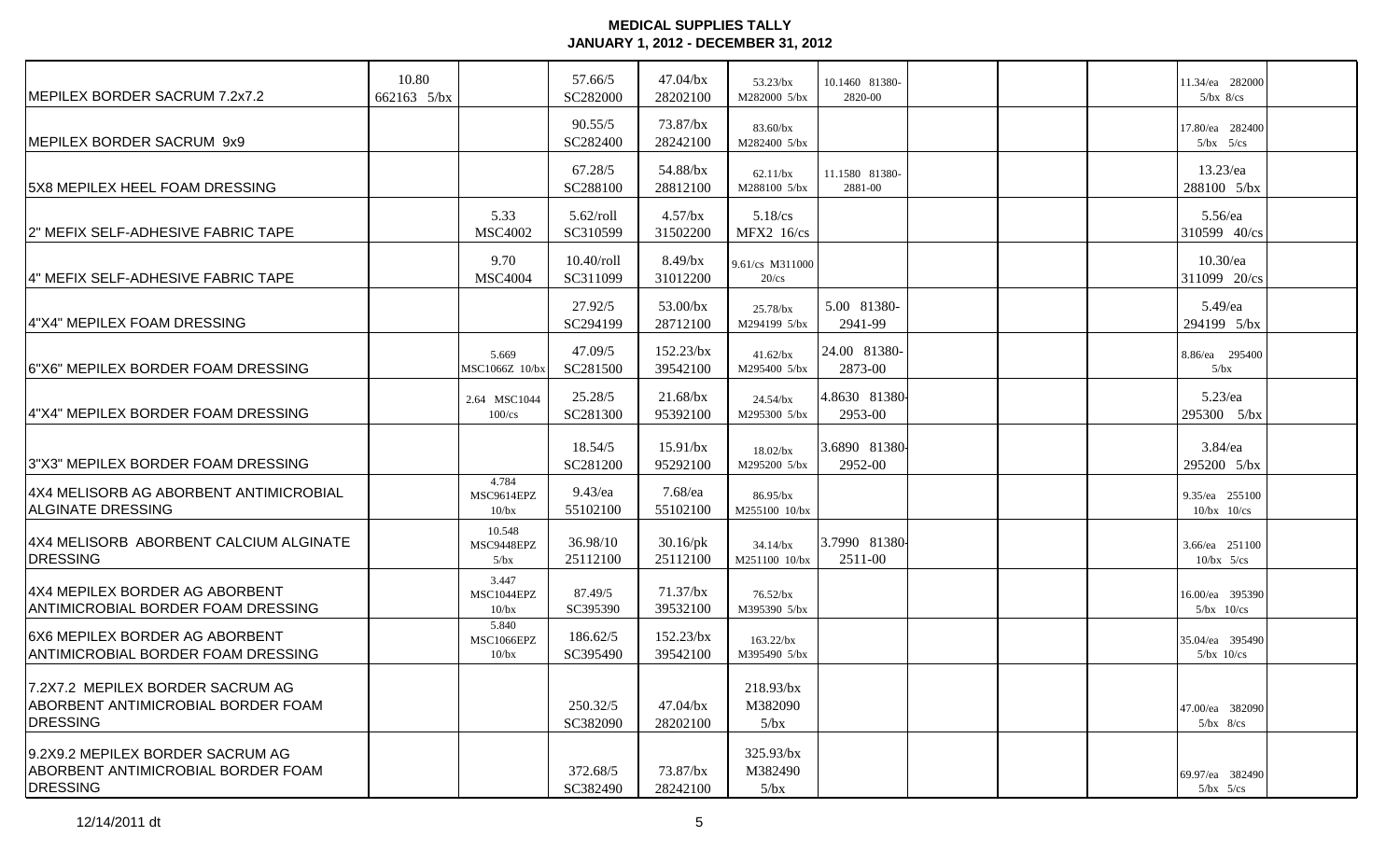| <b>IMEPILEX BORDER SACRUM 7.2x7.2</b>                                                            | 10.80<br>662163 5/bx |                              | 57.66/5<br>SC282000       | $47.04$ /bx<br>28202100  | $53.23$ /bx<br>M282000 5/bx     | 10.1460 81380-<br>2820-00 | 11.34/ea 282000<br>$5/bx$ 8/cs    |  |
|--------------------------------------------------------------------------------------------------|----------------------|------------------------------|---------------------------|--------------------------|---------------------------------|---------------------------|-----------------------------------|--|
| MEPILEX BORDER SACRUM 9x9                                                                        |                      |                              | 90.55/5<br>SC282400       | 73.87/bx<br>28242100     | 83.60/bx<br>M282400 5/bx        |                           | 17.80/ea 282400<br>$5/bx$ $5/cs$  |  |
| 5X8 MEPILEX HEEL FOAM DRESSING                                                                   |                      |                              | 67.28/5<br>SC288100       | 54.88/bx<br>28812100     | $62.11$ /bx<br>M288100 5/bx     | 11.1580 81380-<br>2881-00 | 13.23/ea<br>288100 5/bx           |  |
| 2" MEFIX SELF-ADHESIVE FABRIC TAPE                                                               |                      | 5.33<br><b>MSC4002</b>       | $5.62$ /roll<br>SC310599  | $4.57$ /bx<br>31502200   | $5.18$ /cs<br><b>MFX2</b> 16/cs |                           | $5.56$ /ea<br>310599 40/cs        |  |
| 4" MEFIX SELF-ADHESIVE FABRIC TAPE                                                               |                      | 9.70<br><b>MSC4004</b>       | $10.40$ /roll<br>SC311099 | $8.49$ /bx<br>31012200   | 9.61/cs M311000<br>$20$ /cs     |                           | $10.30$ /ea<br>311099 20/cs       |  |
| 4"X4" MEPILEX FOAM DRESSING                                                                      |                      |                              | 27.92/5<br>SC294199       | 53.00/bx<br>28712100     | $25.78$ /bx<br>M294199 5/bx     | 5.00 81380-<br>2941-99    | 5.49/ea<br>294199 5/bx            |  |
| 6"X6" MEPILEX BORDER FOAM DRESSING                                                               |                      | 5.669<br>MSC1066Z 10/bx      | 47.09/5<br>SC281500       | $152.23$ /bx<br>39542100 | $41.62$ /bx<br>M295400 5/bx     | 24.00 81380-<br>2873-00   | 8.86/ea 295400<br>5/bx            |  |
| 4"X4" MEPILEX BORDER FOAM DRESSING                                                               |                      | 2.64 MSC1044<br>$100$ /cs    | 25.28/5<br>SC281300       | $21.68$ /bx<br>95392100  | $24.54$ /bx<br>M295300 5/bx     | 4.8630 81380-<br>2953-00  | 5.23/ea<br>295300 5/bx            |  |
| 3"X3" MEPILEX BORDER FOAM DRESSING                                                               |                      |                              | 18.54/5<br>SC281200       | 15.91/bx<br>95292100     | 18.02/bx<br>M295200 5/bx        | 3.6890 81380<br>2952-00   | $3.84$ /ea<br>295200 5/bx         |  |
| 4X4 MELISORB AG ABORBENT ANTIMICROBIAL<br><b>ALGINATE DRESSING</b>                               |                      | 4.784<br>MSC9614EPZ<br>10/bx | $9.43$ /ea<br>55102100    | 7.68/ea<br>55102100      | 86.95/bx<br>M255100 10/bx       |                           | 9.35/ea 255100<br>$10/bx$ $10/cs$ |  |
| 4X4 MELISORB ABORBENT CALCIUM ALGINATE<br>DRESSING                                               |                      | 10.548<br>MSC9448EPZ<br>5/bx | 36.98/10<br>25112100      | $30.16$ /pk<br>25112100  | $34.14$ /bx<br>M251100 10/bx    | 3.7990 81380<br>2511-00   | 3.66/ea 251100<br>$10/bx$ 5/cs    |  |
| 4X4 MEPILEX BORDER AG ABORBENT<br><b>ANTIMICROBIAL BORDER FOAM DRESSING</b>                      |                      | 3.447<br>MSC1044EPZ<br>10/bx | 87.49/5<br>SC395390       | $71.37$ /bx<br>39532100  | $76.52$ /bx<br>M395390 5/bx     |                           | 16.00/ea 395390<br>$5/bx$ 10/cs   |  |
| 6X6 MEPILEX BORDER AG ABORBENT<br><b>ANTIMICROBIAL BORDER FOAM DRESSING</b>                      |                      | 5.840<br>MSC1066EPZ<br>10/bx | 186.62/5<br>SC395490      | $152.23$ /bx<br>39542100 | $163.22$ /bx<br>M395490 5/bx    |                           | 35.04/ea 395490<br>$5/bx$ 10/cs   |  |
| 7.2X7.2 MEPILEX BORDER SACRUM AG<br><b>ABORBENT ANTIMICROBIAL BORDER FOAM</b><br><b>DRESSING</b> |                      |                              | 250.32/5<br>SC382090      | $47.04$ /bx<br>28202100  | 218.93/bx<br>M382090<br>5/bx    |                           | 47.00/ea 382090<br>$5/bx$ 8/cs    |  |
| 9.2X9.2 MEPILEX BORDER SACRUM AG<br>ABORBENT ANTIMICROBIAL BORDER FOAM<br><b>DRESSING</b>        |                      |                              | 372.68/5<br>SC382490      | 73.87/bx<br>28242100     | $325.93$ /bx<br>M382490<br>5/bx |                           | 69.97/ea 382490<br>$5/bx$ $5/cs$  |  |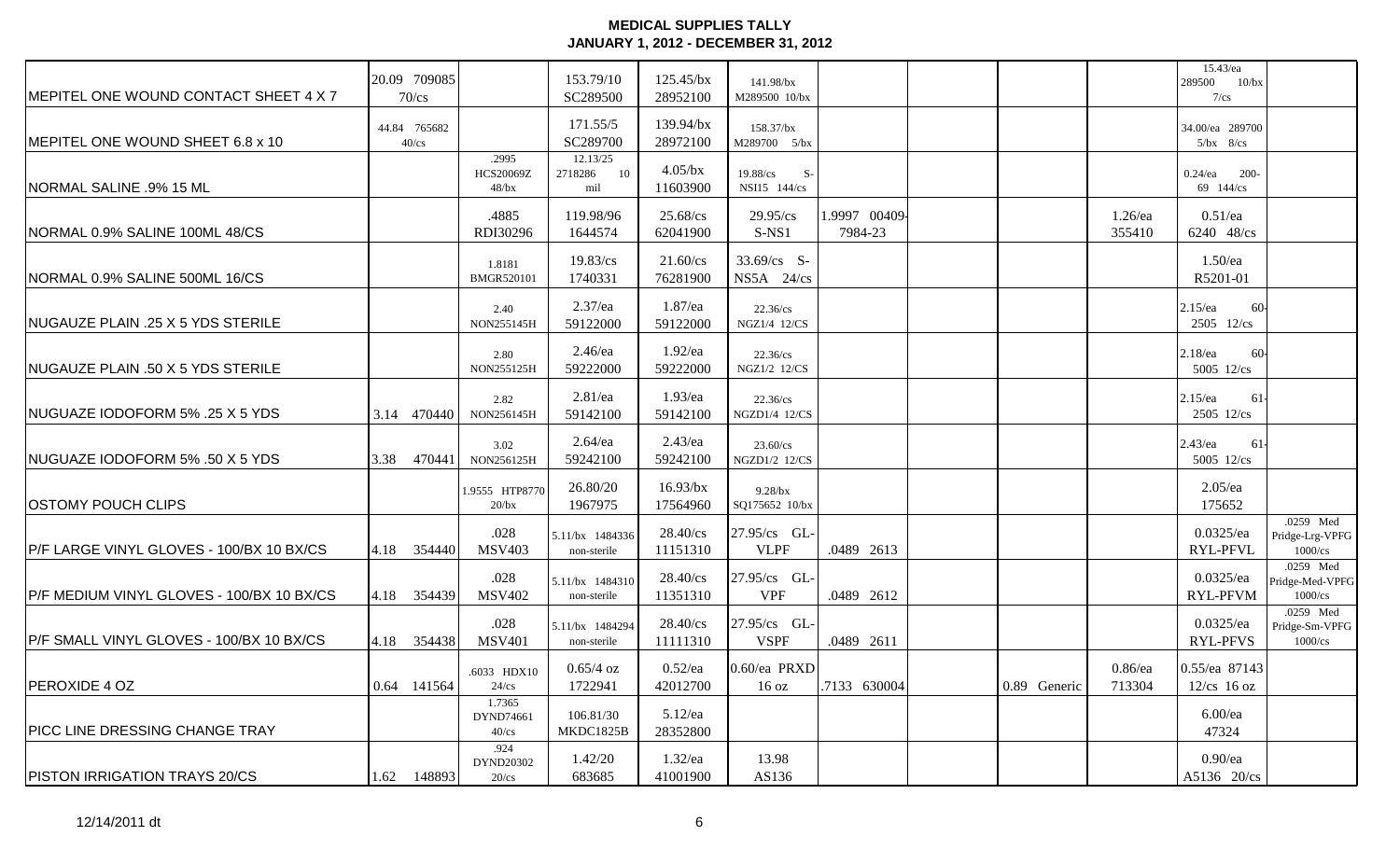| <b>IMEPITEL ONE WOUND CONTACT SHEET 4 X 7</b> |      | 20.09 709085<br>$70$ /cs |                                       | 153.79/10<br>SC289500            | $125.45$ /bx<br>28952100 | 141.98/bx<br>M289500 10/bx       |                         |              |                      | 15.43/ea<br>289500 10/bx<br>$7/\text{cs}$                                  |
|-----------------------------------------------|------|--------------------------|---------------------------------------|----------------------------------|--------------------------|----------------------------------|-------------------------|--------------|----------------------|----------------------------------------------------------------------------|
| MEPITEL ONE WOUND SHEET 6.8 x 10              |      | 44.84 765682<br>$40$ /cs |                                       | 171.55/5<br>SC289700             | 139.94/bx<br>28972100    | 158.37/bx<br>M289700 5/bx        |                         |              |                      | 34.00/ea 289700<br>$5/bx$ $8/cs$                                           |
| <b>NORMAL SALINE .9% 15 ML</b>                |      |                          | .2995<br><b>HCS20069Z</b><br>$48$ /bx | 12.13/25<br>10<br>2718286<br>mil | $4.05$ /bx<br>11603900   | 19.88/cs<br>$S-$<br>NSI15 144/cs |                         |              |                      | $0.24$ /ea<br>$200-$<br>69 144/cs                                          |
| NORMAL 0.9% SALINE 100ML 48/CS                |      |                          | .4885<br>RDI30296                     | 119.98/96<br>1644574             | 25.68/cs<br>62041900     | $29.95$ /cs<br>$S-NS1$           | 1.9997 00409<br>7984-23 |              | $1.26$ /ea<br>355410 | $0.51$ /ea<br>6240 48/cs                                                   |
| NORMAL 0.9% SALINE 500ML 16/CS                |      |                          | 1.8181<br><b>BMGR520101</b>           | $19.83$ /cs<br>1740331           | 21.60/cs<br>76281900     | $33.69/cs$ S-<br>$NS5A$ 24/cs    |                         |              |                      | $1.50$ /ea<br>R5201-01                                                     |
| <b>NUGAUZE PLAIN .25 X 5 YDS STERILE</b>      |      |                          | 2.40<br>NON255145H                    | $2.37$ /ea<br>59122000           | $1.87$ /ea<br>59122000   | $22.36$ /cs<br>NGZ1/4 12/CS      |                         |              |                      | $2.15$ /ea<br>60-<br>$2505$ $12/\text{cs}$                                 |
| <b>NUGAUZE PLAIN .50 X 5 YDS STERILE</b>      |      |                          | 2.80<br>NON255125H                    | $2.46$ /ea<br>59222000           | $1.92$ /ea<br>59222000   | $22.36$ /cs<br>NGZ1/2 12/CS      |                         |              |                      | $2.18$ /ea<br>60-<br>5005 12/cs                                            |
| <b>NUGUAZE IODOFORM 5% .25 X 5 YDS</b>        |      | 3.14 470440              | 2.82<br>NON256145H                    | $2.81$ /ea<br>59142100           | $1.93$ /ea<br>59142100   | $22.36$ /cs<br>NGZD1/4 12/CS     |                         |              |                      | $2.15$ /ea<br>61<br>2505 12/cs                                             |
| NUGUAZE IODOFORM 5% .50 X 5 YDS               | 3.38 | 470441                   | 3.02<br>NON256125H                    | $2.64$ /ea<br>59242100           | $2.43$ /ea<br>59242100   | 23.60/cs<br>NGZD1/2 12/CS        |                         |              |                      | $2.43$ /ea<br>61<br>5005 12/cs                                             |
| <b>OSTOMY POUCH CLIPS</b>                     |      |                          | 1.9555 HTP8770<br>$20$ /bx            | 26.80/20<br>1967975              | $16.93$ /bx<br>17564960  | $9.28$ /bx<br>SQ175652 10/bx     |                         |              |                      | $2.05$ /ea<br>175652                                                       |
| P/F LARGE VINYL GLOVES - 100/BX 10 BX/CS      | 4.18 | 354440                   | .028<br><b>MSV403</b>                 | 5.11/bx 1484336<br>non-sterile   | 28.40/cs<br>11151310     | 27.95/cs GL-<br><b>VLPF</b>      | .0489 2613              |              |                      | .0259 Med<br>$0.0325$ /ea<br>Pridge-Lrg-VPFG<br>RYL-PFVL<br>1000/cs        |
| P/F MEDIUM VINYL GLOVES - 100/BX 10 BX/CS     |      | 4.18 354439              | .028<br><b>MSV402</b>                 | 5.11/bx 1484310<br>non-sterile   | 28.40/cs<br>11351310     | 27.95/cs GL-<br><b>VPF</b>       | .0489 2612              |              |                      | .0259 Med<br>$0.0325$ /ea<br>Pridge-Med-VPFG<br><b>RYL-PFVM</b><br>1000/cs |
| P/F SMALL VINYL GLOVES - 100/BX 10 BX/CS      | 4.18 | 354438                   | .028<br><b>MSV401</b>                 | 5.11/bx 1484294<br>non-sterile   | 28.40/cs<br>11111310     | 27.95/cs GL-<br><b>VSPF</b>      | .0489 2611              |              |                      | .0259 Med<br>$0.0325$ /ea<br>Pridge-Sm-VPFG<br>RYL-PFVS<br>1000/cs         |
| PEROXIDE 4 OZ                                 |      | 0.64 141564              | .6033 HDX10<br>$24$ /cs               | $0.65/4 \text{ oz}$<br>1722941   | $0.52$ /ea<br>42012700   | $0.60$ /ea PRXD<br>16 oz         | .7133 630004            | 0.89 Generic | $0.86$ /ea<br>713304 | 0.55/ea 87143<br>$12$ /cs 16 oz                                            |
| <b>PICC LINE DRESSING CHANGE TRAY</b>         |      |                          | 1.7365<br>DYND74661<br>$40$ /cs       | 106.81/30<br>MKDC1825B           | 5.12/ea<br>28352800      |                                  |                         |              |                      | $6.00$ /ea<br>47324                                                        |
| <b>PISTON IRRIGATION TRAYS 20/CS</b>          |      | 1.62 148893              | .924<br>DYND20302<br>$20$ /cs         | 1.42/20<br>683685                | $1.32$ /ea<br>41001900   | 13.98<br>AS136                   |                         |              |                      | $0.90$ /ea<br>A5136 20/cs                                                  |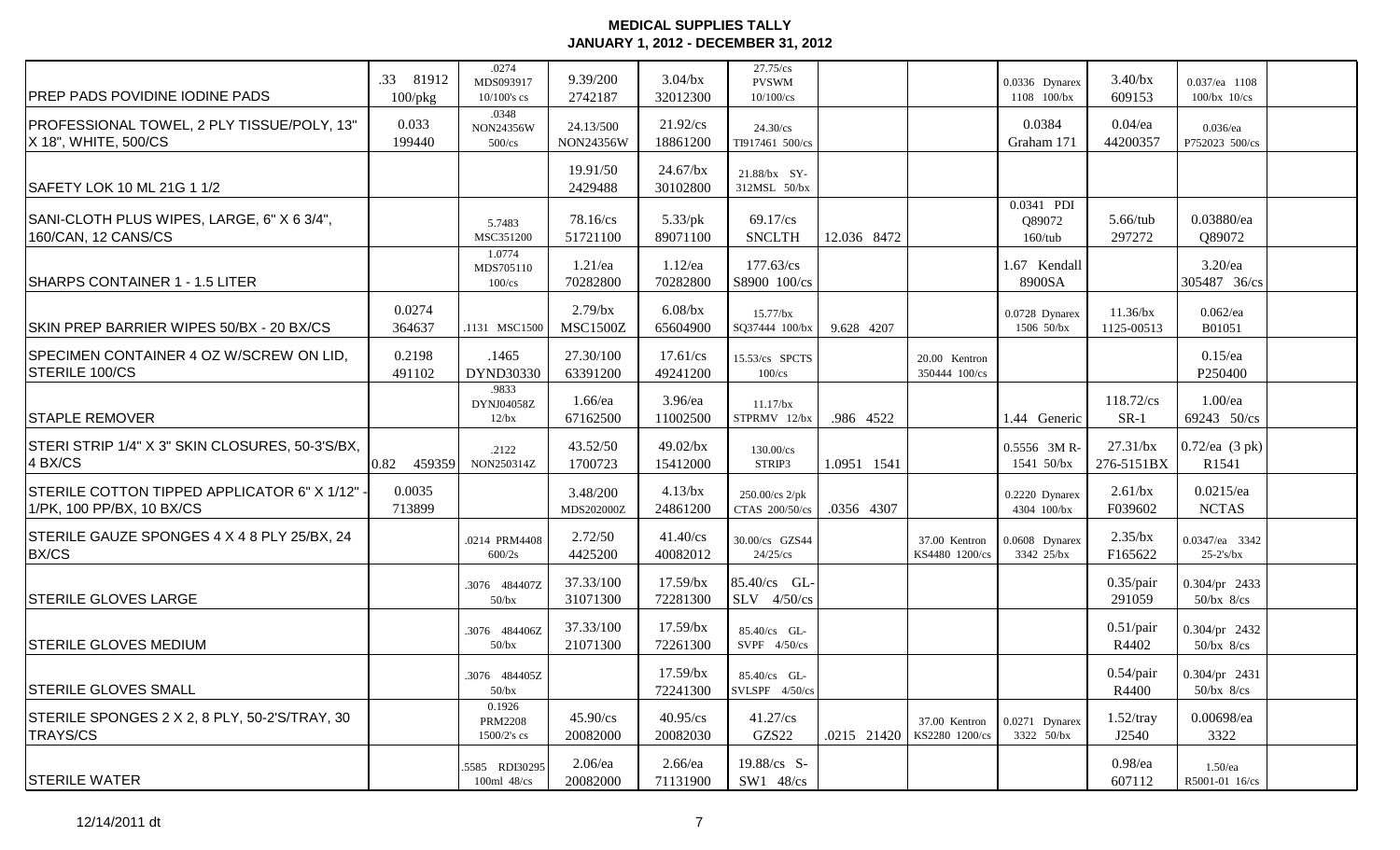| <b>PREP PADS POVIDINE IODINE PADS</b>                                      | .33 81912<br>$100$ /p $kg$                                    | .0274<br>MDS093917<br>$10/100$ 's cs    | 9.39/200<br>2742187           | $3.04$ /bx<br>32012300  | 27.75/cs<br><b>PVSWM</b><br>$10/100$ /cs |             |                                 | 0.0336 Dynarex<br>1108 100/bx      | $3.40$ /bx<br>609153      | 0.037/ea 1108<br>$100/bx$ $10/cs$ |  |
|----------------------------------------------------------------------------|---------------------------------------------------------------|-----------------------------------------|-------------------------------|-------------------------|------------------------------------------|-------------|---------------------------------|------------------------------------|---------------------------|-----------------------------------|--|
| PROFESSIONAL TOWEL, 2 PLY TISSUE/POLY, 13"<br>X 18", WHITE, 500/CS         | 0.033<br>199440                                               | .0348<br>NON24356W<br>$500$ /cs         | 24.13/500<br>NON24356W        | 21.92/cs<br>18861200    | 24.30/cs<br>TI917461 500/cs              |             |                                 | 0.0384<br>Graham 171               | $0.04$ /ea<br>44200357    | $0.036$ /ea<br>P752023 500/cs     |  |
| SAFETY LOK 10 ML 21G 1 1/2                                                 |                                                               |                                         | 19.91/50<br>2429488           | $24.67$ /bx<br>30102800 | 21.88/bx SY-<br>312MSL 50/bx             |             |                                 |                                    |                           |                                   |  |
| SANI-CLOTH PLUS WIPES, LARGE, 6" X 6 3/4",<br>160/CAN, 12 CANS/CS          |                                                               | 5.7483<br>MSC351200                     | 78.16/cs<br>51721100          | $5.33$ /pk<br>89071100  | $69.17$ /cs<br><b>SNCLTH</b>             | 12.036 8472 |                                 | 0.0341 PDI<br>Q89072<br>$160$ /tub | $5.66$ /tub<br>297272     | 0.03880/ea<br>Q89072              |  |
| SHARPS CONTAINER 1 - 1.5 LITER                                             |                                                               | 1.0774<br>MDS705110<br>$100$ /cs        | $1.21$ /ea<br>70282800        | $1.12$ /ea<br>70282800  | 177.63/cs<br>S8900 100/cs                |             |                                 | 1.67 Kendall<br>8900SA             |                           | $3.20$ /ea<br>305487 36/cs        |  |
| SKIN PREP BARRIER WIPES 50/BX - 20 BX/CS                                   | 0.0274<br>364637                                              | .1131 MSC1500                           | $2.79$ /bx<br><b>MSC1500Z</b> | $6.08$ /bx<br>65604900  | 15.77/bx<br>SQ37444 100/bx               | 9.628 4207  |                                 | 0.0728 Dynarex<br>1506 50/bx       | $11.36$ /bx<br>1125-00513 | $0.062$ /ea<br>B01051             |  |
| SPECIMEN CONTAINER 4 OZ W/SCREW ON LID,<br><b>STERILE 100/CS</b>           | 0.2198<br>491102                                              | .1465<br>DYND30330                      | 27.30/100<br>63391200         | $17.61$ /cs<br>49241200 | 15.53/cs SPCTS<br>$100$ /cs              |             | 20.00 Kentron<br>350444 100/cs  |                                    |                           | $0.15$ /ea<br>P250400             |  |
| <b>STAPLE REMOVER</b>                                                      |                                                               | .9833<br>DYNJ04058Z<br>12/bx            | $1.66$ /ea<br>67162500        | 3.96/ea<br>11002500     | $11.17$ /bx<br>STPRMV 12/bx              | .986 4522   |                                 | 1.44 Generic                       | 118.72/cs<br>$SR-1$       | $1.00$ /ea<br>69243 50/cs         |  |
| STERI STRIP 1/4" X 3" SKIN CLOSURES, 50-3'S/BX,<br>4 BX/CS                 | $\begin{array}{ c c c c c } \hline 0.82 & 459359 \end{array}$ | .2122<br>NON250314Z                     | 43.52/50<br>1700723           | $49.02$ /bx<br>15412000 | 130.00/cs<br>STRIP3                      | 1.0951 1541 |                                 | 0.5556 3MR-<br>1541 50/bx          | $27.31$ /bx<br>276-5151BX | 0.72/ea (3 pk)<br>R1541           |  |
| STERILE COTTON TIPPED APPLICATOR 6" X 1/12" ·<br>1/PK, 100 PP/BX, 10 BX/CS | 0.0035<br>713899                                              |                                         | 3.48/200<br>MDS202000Z        | $4.13$ /bx<br>24861200  | 250.00/cs 2/pk<br>CTAS 200/50/cs         | .0356 4307  |                                 | 0.2220 Dynarex<br>4304 100/bx      | $2.61$ /bx<br>F039602     | $0.0215$ /ea<br><b>NCTAS</b>      |  |
| STERILE GAUZE SPONGES 4 X 4 8 PLY 25/BX, 24<br>BX/CS                       |                                                               | .0214 PRM4408<br>600/2s                 | 2.72/50<br>4425200            | 41.40/cs<br>40082012    | 30.00/cs GZS44<br>$24/25$ /cs            |             | 37.00 Kentron<br>KS4480 1200/cs | 0.0608 Dynarex<br>3342 25/bx       | $2.35$ /bx<br>F165622     | 0.0347/ea 3342<br>$25-2's/bx$     |  |
| <b>STERILE GLOVES LARGE</b>                                                |                                                               | .3076 484407Z<br>$50$ /bx               | 37.33/100<br>31071300         | 17.59/bx<br>72281300    | $85.40$ /cs GL-<br>$SLV$ 4/50/cs         |             |                                 |                                    | $0.35$ /pair<br>291059    | 0.304/pr 2433<br>$50$ /bx $8$ /cs |  |
| <b>STERILE GLOVES MEDIUM</b>                                               |                                                               | .3076 484406Z<br>$50$ /bx               | 37.33/100<br>21071300         | 17.59/bx<br>72261300    | 85.40/cs GL-<br>SVPF $4/50$ /cs          |             |                                 |                                    | $0.51$ /pair<br>R4402     | 0.304/pr 2432<br>$50$ /bx $8$ /cs |  |
| <b>STERILE GLOVES SMALL</b>                                                |                                                               | .3076 484405Z<br>$50$ /bx               |                               | 17.59/bx<br>72241300    | 85.40/cs GL-<br>$SVLSPF$ 4/50/cs         |             |                                 |                                    | $0.54$ /pair<br>R4400     | 0.304/pr 2431<br>$50$ /bx $8$ /cs |  |
| STERILE SPONGES 2 X 2, 8 PLY, 50-2'S/TRAY, 30<br><b>TRAYS/CS</b>           |                                                               | 0.1926<br><b>PRM2208</b><br>1500/2's cs | 45.90/cs<br>20082000          | 40.95/cs<br>20082030    | 41.27/cs<br>GZS22                        | .0215 21420 | 37.00 Kentron<br>KS2280 1200/cs | 0.0271 Dynarex<br>3322 50/bx       | $1.52$ /tray<br>J2540     | 0.00698/ea<br>3322                |  |
| <b>STERILE WATER</b>                                                       |                                                               | .5585 RDI30295<br>100ml 48/cs           | $2.06$ /ea<br>20082000        | $2.66$ /ea<br>71131900  | 19.88/cs S-<br>SW1 48/cs                 |             |                                 |                                    | $0.98$ /ea<br>607112      | $1.50$ /ea<br>R5001-01 16/cs      |  |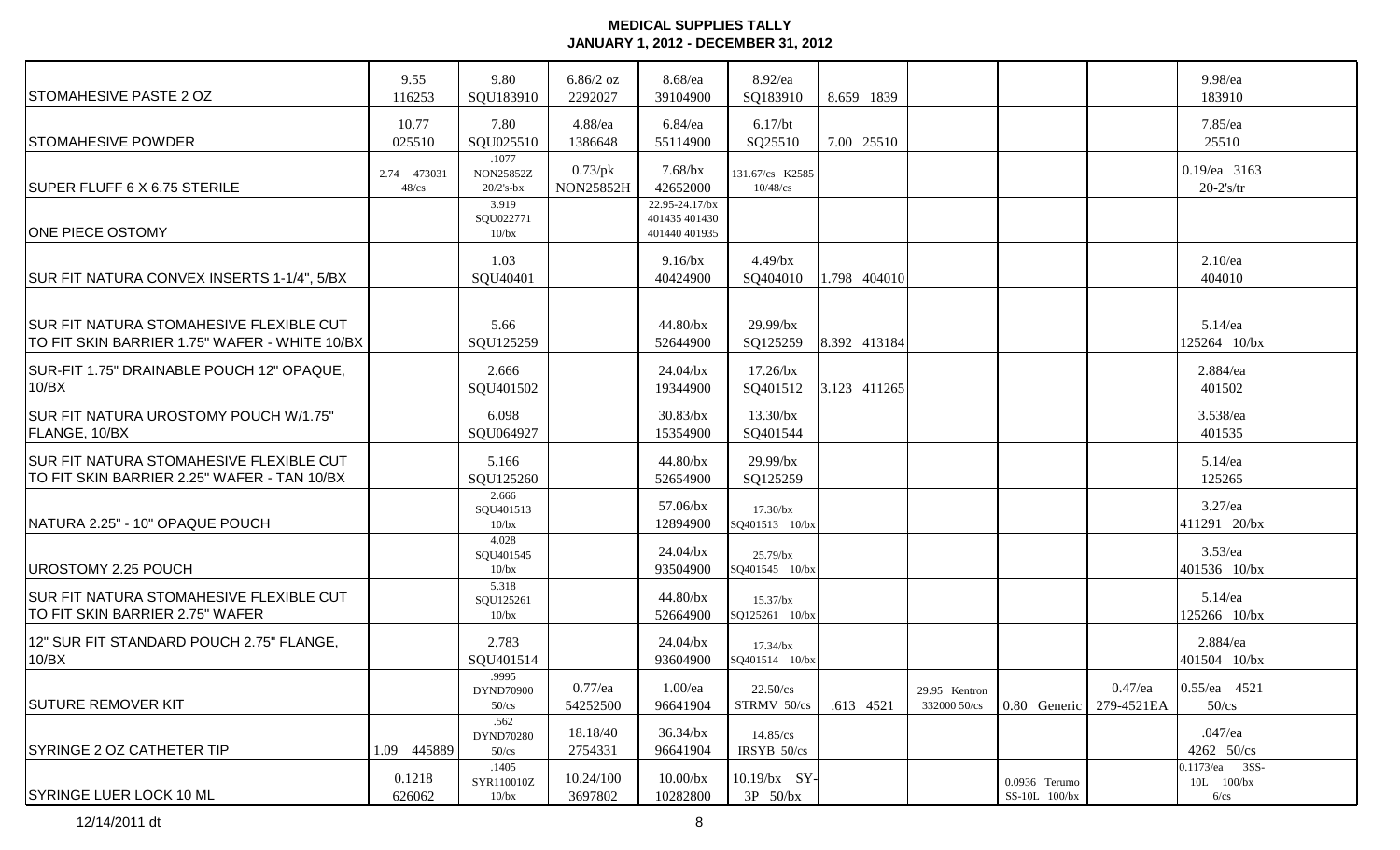| <b>STOMAHESIVE PASTE 2 OZ</b>                                                            | 9.55<br>116253          | 9.80<br>SQU183910                  | $6.86/2$ oz<br>2292027         | 8.68/ea<br>39104900                              | 8.92/ea<br>SQ183910              | 8.659 1839   |                                               |                          | 9.98/ea<br>183910                              |  |
|------------------------------------------------------------------------------------------|-------------------------|------------------------------------|--------------------------------|--------------------------------------------------|----------------------------------|--------------|-----------------------------------------------|--------------------------|------------------------------------------------|--|
| <b>STOMAHESIVE POWDER</b>                                                                | 10.77<br>025510         | 7.80<br>SQU025510                  | 4.88/ea<br>1386648             | $6.84$ /ea<br>55114900                           | $6.17$ /bt<br>SQ25510            | 7.00 25510   |                                               |                          | 7.85/ea<br>25510                               |  |
| SUPER FLUFF 6 X 6.75 STERILE                                                             | 2.74 473031<br>$48$ /cs | .1077<br>NON25852Z<br>$20/2$ 's-bx | $0.73$ /pk<br><b>NON25852H</b> | $7.68$ /bx<br>42652000                           | 131.67/cs K2585<br>$10/48$ /cs   |              |                                               |                          | 0.19/ea 3163<br>$20-2's$ /tr                   |  |
| <b>ONE PIECE OSTOMY</b>                                                                  |                         | 3.919<br>SQU022771<br>10/bx        |                                | 22.95-24.17/bx<br>401435 401430<br>401440 401935 |                                  |              |                                               |                          |                                                |  |
| SUR FIT NATURA CONVEX INSERTS 1-1/4", 5/BX                                               |                         | 1.03<br>SQU40401                   |                                | $9.16$ /bx<br>40424900                           | $4.49$ /bx<br>SQ404010           | 1.798 404010 |                                               |                          | $2.10$ /ea<br>404010                           |  |
| SUR FIT NATURA STOMAHESIVE FLEXIBLE CUT<br>TO FIT SKIN BARRIER 1.75" WAFER - WHITE 10/BX |                         | 5.66<br>SQU125259                  |                                | 44.80/bx<br>52644900                             | $29.99$ /bx<br>SQ125259          | 8.392 413184 |                                               |                          | $5.14$ /ea<br>125264 10/bx                     |  |
| SUR-FIT 1.75" DRAINABLE POUCH 12" OPAQUE,<br>10/BX                                       |                         | 2.666<br>SQU401502                 |                                | $24.04$ /bx<br>19344900                          | $17.26$ /bx<br>SQ401512          | 3.123 411265 |                                               |                          | 2.884/ea<br>401502                             |  |
| SUR FIT NATURA UROSTOMY POUCH W/1.75"<br>FLANGE, 10/BX                                   |                         | 6.098<br>SQU064927                 |                                | $30.83$ /bx<br>15354900                          | $13.30$ /bx<br>SQ401544          |              |                                               |                          | 3.538/ea<br>401535                             |  |
| SUR FIT NATURA STOMAHESIVE FLEXIBLE CUT<br>TO FIT SKIN BARRIER 2.25" WAFER - TAN 10/BX   |                         | 5.166<br>SQU125260                 |                                | 44.80/bx<br>52654900                             | $29.99$ /bx<br>SQ125259          |              |                                               |                          | 5.14/ea<br>125265                              |  |
| NATURA 2.25" - 10" OPAQUE POUCH                                                          |                         | 2.666<br>SQU401513<br>10/bx        |                                | 57.06/bx<br>12894900                             | 17.30/bx<br>SQ401513 10/bx       |              |                                               |                          | $3.27$ /ea<br>411291 20/bx                     |  |
| UROSTOMY 2.25 POUCH                                                                      |                         | 4.028<br>SQU401545<br>10/bx        |                                | $24.04$ /bx<br>93504900                          | $25.79$ /bx<br>SQ401545 10/bx    |              |                                               |                          | $3.53$ /ea<br>401536 10/bx                     |  |
| SUR FIT NATURA STOMAHESIVE FLEXIBLE CUT<br>TO FIT SKIN BARRIER 2.75" WAFER               |                         | 5.318<br>SQU125261<br>10/bx        |                                | 44.80/bx<br>52664900                             | $15.37$ /bx<br>SQ125261 10/bx    |              |                                               |                          | $5.14$ /ea<br>125266 10/bx                     |  |
| 12" SUR FIT STANDARD POUCH 2.75" FLANGE,<br>10/BX                                        |                         | 2.783<br>SQU401514                 |                                | $24.04$ /bx<br>93604900                          | $17.34$ /bx<br>SQ401514 10/bx    |              |                                               |                          | 2.884/ea<br>401504 10/bx                       |  |
| <b>ISUTURE REMOVER KIT</b>                                                               |                         | .9995<br>DYND70900<br>$50$ /cs     | $0.77$ /ea<br>54252500         | $1.00$ /ea<br>96641904                           | $22.50$ /cs<br>STRMV 50/cs       | .613 4521    | 29.95 Kentron<br>332000 50/cs<br>0.80 Generic | $0.47$ /ea<br>279-4521EA | $ 0.55$ /ea 4521<br>$50$ /cs                   |  |
| <b>SYRINGE 2 OZ CATHETER TIP</b>                                                         | 1.09 445889             | .562<br>DYND70280<br>$50$ /cs      | 18.18/40<br>2754331            | $36.34$ /bx<br>96641904                          | 14.85/cs<br>IRSYB 50/cs          |              |                                               |                          | $.047$ /ea<br>4262 50/cs                       |  |
| <b>SYRINGE LUER LOCK 10 ML</b>                                                           | 0.1218<br>626062        | .1405<br>SYR110010Z<br>10/bx       | 10.24/100<br>3697802           | 10.00/bx<br>10282800                             | 10.19/bx SY-<br>$3P \quad 50/bx$ |              | 0.0936 Terumo<br>SS-10L 100/bx                |                          | 0.1173/ea 3SS-<br>$10L$ $100/bx$<br>$6$ / $cs$ |  |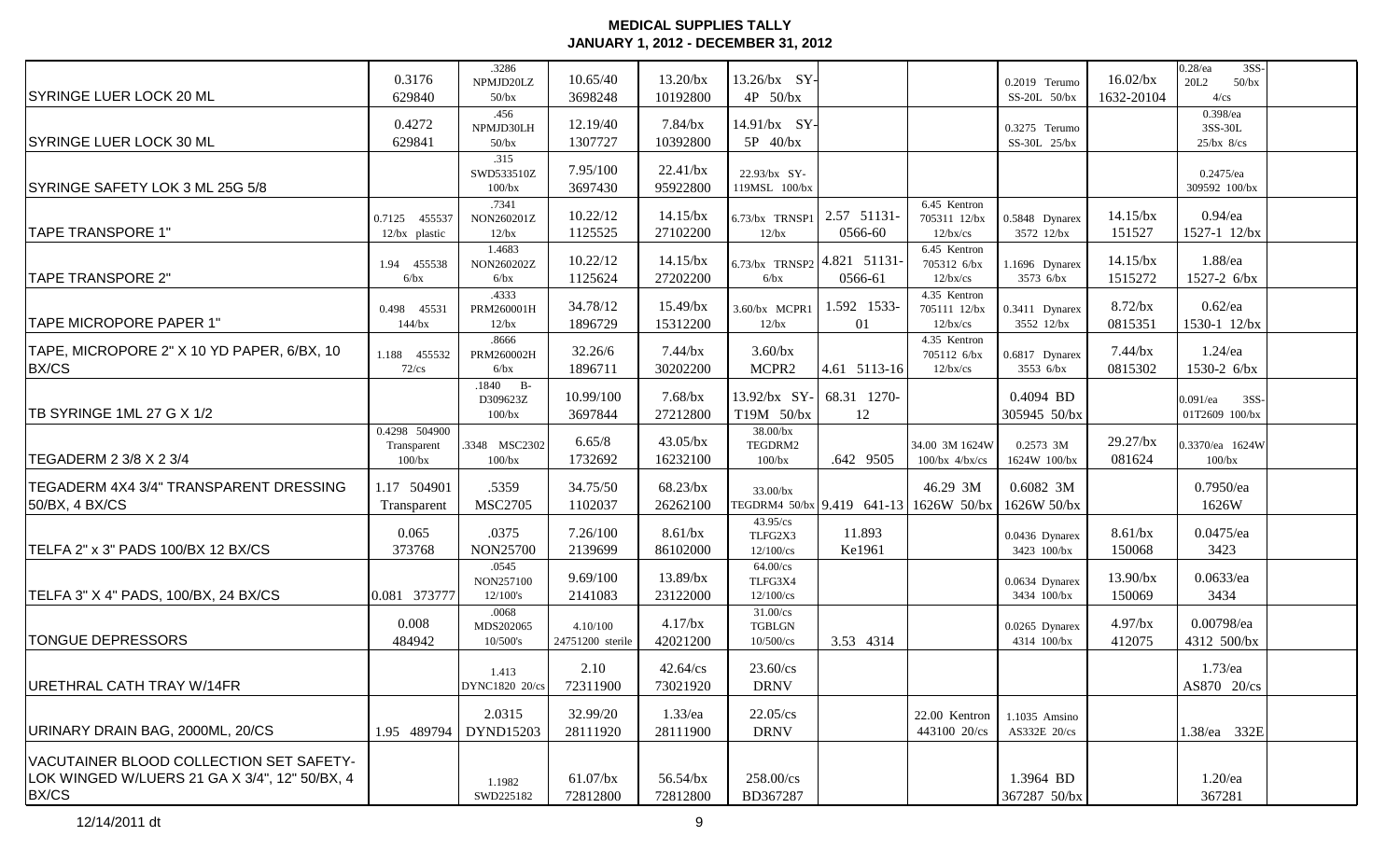|                                                                                          |                  | .3286                   |                     |                         |                                |                                        |                             |                                 |                           | $3SS-$<br>$0.28$ /ea     |  |
|------------------------------------------------------------------------------------------|------------------|-------------------------|---------------------|-------------------------|--------------------------------|----------------------------------------|-----------------------------|---------------------------------|---------------------------|--------------------------|--|
| <b>SYRINGE LUER LOCK 20 ML</b>                                                           | 0.3176<br>629840 | NPMJD20LZ<br>$50$ /bx   | 10.65/40<br>3698248 | $13.20$ /bx<br>10192800 | 13.26/bx SY-<br>4P 50/bx       |                                        |                             | 0.2019 Terumo<br>$SS-20L$ 50/bx | $16.02$ /bx<br>1632-20104 | 20L2<br>$50$ /bx<br>4/cs |  |
|                                                                                          |                  | .456                    |                     |                         |                                |                                        |                             |                                 |                           | 0.398/ea                 |  |
|                                                                                          | 0.4272           | NPMJD30LH               | 12.19/40            | $7.84$ /bx              | 14.91/bx SY-                   |                                        |                             | 0.3275 Terumo                   |                           | 3SS-30L                  |  |
| <b>SYRINGE LUER LOCK 30 ML</b>                                                           | 629841           | $50$ /bx                | 1307727             | 10392800                | 5P 40/bx                       |                                        |                             | SS-30L 25/bx                    |                           | $25/bx$ 8/cs             |  |
|                                                                                          |                  | .315                    |                     |                         |                                |                                        |                             |                                 |                           |                          |  |
|                                                                                          |                  | SWD533510Z              | 7.95/100            | 22.41/bx                | 22.93/bx SY-                   |                                        |                             |                                 |                           | $0.2475$ /ea             |  |
| SYRINGE SAFETY LOK 3 ML 25G 5/8                                                          |                  | 100/bx<br>.7341         | 3697430             | 95922800                | 119MSL 100/bx                  |                                        | 6.45 Kentron                |                                 |                           | 309592 100/bx            |  |
|                                                                                          | 0.7125 455537    | NON260201Z              | 10.22/12            | $14.15$ /bx             | 6.73/bx TRNSP1                 | 2.57 51131-                            | 705311 12/bx                | 0.5848 Dynarex                  | $14.15$ /bx               | $0.94$ /ea               |  |
| <b>TAPE TRANSPORE 1"</b>                                                                 | 12/bx plastic    | 12/bx                   | 1125525             | 27102200                | $12$ /bx                       | 0566-60                                | $12$ /bx/cs                 | 3572 12/bx                      | 151527                    | 1527-1 12/bx             |  |
|                                                                                          |                  | 1.4683                  |                     |                         |                                |                                        | 6.45 Kentron                |                                 |                           |                          |  |
|                                                                                          | 1.94 455538      | NON260202Z              | 10.22/12            | $14.15$ /bx             | $6.73$ /bx TRNSP2 4.821 51131- |                                        | 705312 6/bx                 | 1.1696 Dynarex                  | $14.15$ /bx               | 1.88/ea                  |  |
| <b>TAPE TRANSPORE 2"</b>                                                                 | 6/bx             | 6/bx                    | 1125624             | 27202200                | 6/bx                           | 0566-61                                | $12$ /bx/cs<br>4.35 Kentron | 3573 6/bx                       | 1515272                   | 1527-2 6/bx              |  |
|                                                                                          | 0.498 45531      | .4333<br>PRM260001H     | 34.78/12            | $15.49$ /bx             | 3.60/bx MCPR1                  | 1.592 1533-                            | 705111 12/bx                | 0.3411 Dynarex                  | $8.72$ /bx                | $0.62$ /ea               |  |
| TAPE MICROPORE PAPER 1"                                                                  | 144/bx           | 12/bx                   | 1896729             | 15312200                | 12/bx                          | 01                                     | $12$ /bx/cs                 | 3552 12/bx                      | 0815351                   | 1530-1 12/bx             |  |
|                                                                                          |                  | .8666                   |                     |                         |                                |                                        | 4.35 Kentron                |                                 |                           |                          |  |
| TAPE, MICROPORE 2" X 10 YD PAPER, 6/BX, 10                                               | 1.188 455532     | PRM260002H              | 32.26/6             | $7.44$ /bx              | $3.60$ /bx                     |                                        | 705112 6/bx                 | 0.6817 Dynarex                  | $7.44$ /bx                | $1.24$ /ea               |  |
| <b>BX/CS</b>                                                                             | $72$ /cs         | 6/bx                    | 1896711             | 30202200                | MCPR2                          | 4.61 5113-16                           | $12$ /bx/cs                 | 3553 6/bx                       | 0815302                   | 1530-2 6/bx              |  |
|                                                                                          |                  | $.1840$ B-<br>D309623Z  | 10.99/100           | $7.68$ /bx              | 13.92/bx SY-                   | 68.31 1270-                            |                             | 0.4094 BD                       |                           | $0.091$ /ea<br>3SS-      |  |
| TB SYRINGE 1ML 27 G X 1/2                                                                |                  | $100$ / $bx$            | 3697844             | 27212800                | T19M 50/bx                     | 12                                     |                             | 305945 50/bx                    |                           | 01T2609 100/bx           |  |
|                                                                                          | 0.4298 504900    |                         |                     |                         | 38.00/bx                       |                                        |                             |                                 |                           |                          |  |
|                                                                                          | Transparent      | .3348 MSC2302           | 6.65/8              | $43.05$ /bx             | TEGDRM2                        |                                        | 34.00 3M 1624W              | 0.2573 3M                       | $29.27$ /bx               | 0.3370/ea 1624W          |  |
| TEGADERM 2 3/8 X 2 3/4                                                                   | $100$ /bx        | 100/bx                  | 1732692             | 16232100                | 100/bx                         | .642 9505                              | $100/bx$ 4/bx/cs            | 1624W 100/bx                    | 081624                    | $100$ /bx                |  |
| TEGADERM 4X4 3/4" TRANSPARENT DRESSING                                                   | 1.17 504901      | .5359                   | 34.75/50            | 68.23/bx                | 33.00/bx                       |                                        | 46.29 3M                    | 0.6082 3M                       |                           | $0.7950$ /ea             |  |
| 50/BX, 4 BX/CS                                                                           | Transparent      | <b>MSC2705</b>          | 1102037             | 26262100                |                                | TEGDRM4 50/bx 9.419 641-13 1626W 50/bx |                             | $1626W\,50/bx$                  |                           | 1626W                    |  |
|                                                                                          |                  |                         |                     |                         | 43.95/cs                       |                                        |                             |                                 |                           |                          |  |
|                                                                                          | 0.065            | .0375                   | 7.26/100            | $8.61$ /bx              | TLFG2X3                        | 11.893                                 |                             | 0.0436 Dynarex                  | $8.61$ /bx                | $0.0475$ /ea             |  |
| TELFA 2" x 3" PADS 100/BX 12 BX/CS                                                       | 373768           | <b>NON25700</b>         | 2139699             | 86102000                | 12/100/cs                      | Ke1961                                 |                             | 3423 100/bx                     | 150068                    | 3423                     |  |
|                                                                                          |                  | .0545<br>NON257100      | 9.69/100            | 13.89/bx                | 64.00/cs<br>TLFG3X4            |                                        |                             | 0.0634 Dynarex                  | 13.90/bx                  | $0.0633$ /ea             |  |
| TELFA 3" X 4" PADS, 100/BX, 24 BX/CS                                                     | 0.081 373777     | 12/100's                | 2141083             | 23122000                | 12/100/cs                      |                                        |                             | 3434 100/bx                     | 150069                    | 3434                     |  |
|                                                                                          |                  | .0068                   |                     |                         | 31.00/cs                       |                                        |                             |                                 |                           |                          |  |
|                                                                                          | 0.008            | MDS202065               | 4.10/100            | $4.17$ /bx              | <b>TGBLGN</b>                  |                                        |                             | 0.0265 Dynarex                  | $4.97$ /bx                | 0.00798/ea               |  |
| <b>TONGUE DEPRESSORS</b>                                                                 | 484942           | $10/500$ 's             | 24751200 sterile    | 42021200                | $10/500/\mathrm{cs}$           | 3.53 4314                              |                             | 4314 100/bx                     | 412075                    | 4312 500/bx              |  |
|                                                                                          |                  |                         | 2.10                | 42.64/cs                | 23.60/cs                       |                                        |                             |                                 |                           | $1.73$ /ea               |  |
| URETHRAL CATH TRAY W/14FR                                                                |                  | 1.413<br>DYNC1820 20/cs | 72311900            | 73021920                | <b>DRNV</b>                    |                                        |                             |                                 |                           | AS870 20/cs              |  |
|                                                                                          |                  |                         |                     |                         |                                |                                        |                             |                                 |                           |                          |  |
|                                                                                          |                  | 2.0315                  | 32.99/20            | $1.33$ /ea              | $22.05$ /cs                    |                                        | 22.00 Kentron               | 1.1035 Amsino                   |                           |                          |  |
| URINARY DRAIN BAG, 2000ML, 20/CS                                                         | 1.95 489794      | DYND15203               | 28111920            | 28111900                | <b>DRNV</b>                    |                                        | 443100 20/cs                | AS332E 20/cs                    |                           | 1.38/ea 332E             |  |
|                                                                                          |                  |                         |                     |                         |                                |                                        |                             |                                 |                           |                          |  |
| VACUTAINER BLOOD COLLECTION SET SAFETY-<br>LOK WINGED W/LUERS 21 GA X 3/4", 12" 50/BX, 4 |                  |                         | $61.07$ /bx         | 56.54/bx                | 258.00/cs                      |                                        |                             | 1.3964 BD                       |                           | $1.20$ /ea               |  |
| BX/CS                                                                                    |                  | 1.1982<br>SWD225182     | 72812800            | 72812800                | BD367287                       |                                        |                             | 367287 50/bx                    |                           | 367281                   |  |
|                                                                                          |                  |                         |                     |                         |                                |                                        |                             |                                 |                           |                          |  |